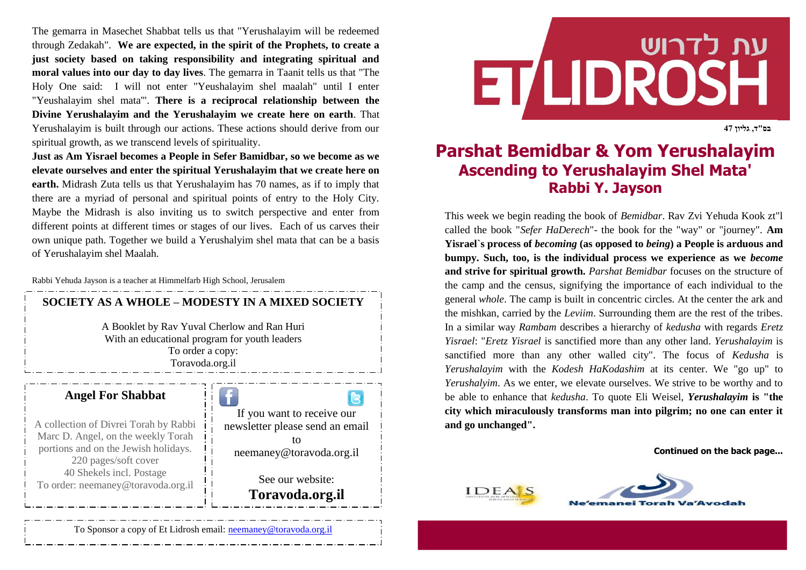The gemarra in Masechet Shabbat tells us that "Yerushalayim will be redeemed through Zedakah". **We are expected, in the spirit of the Prophets, to create a just society based on taking responsibility and integrating spiritual and moral values into our day to day lives**. The gemarra in Taanit tells us that "The Holy One said: I will not enter "Yeushalayim shel maalah" until I enter "Yeushalayim shel mata'". **There is a reciprocal relationship between the Divine Yerushalayim and the Yerushalayim we create here on earth**. That Yerushalayim is built through our actions. These actions should derive from our spiritual growth, as we transcend levels of spirituality.

**Just as Am Yisrael becomes a People in Sefer Bamidbar, so we become as we elevate ourselves and enter the spiritual Yerushalayim that we create here on earth.** Midrash Zuta tells us that Yerushalayim has 70 names, as if to imply that there are a myriad of personal and spiritual points of entry to the Holy City. Maybe the Midrash is also inviting us to switch perspective and enter from different points at different times or stages of our lives. Each of us carves their own unique path. Together we build a Yerushalyim shel mata that can be a basis of Yerushalayim shel Maalah.

Rabbi Yehuda Jayson is a teacher at Himmelfarb High School, Jerusalem



## עת לדרוש **ET LIDROSH**

**בס"ד, גליון 74**

## **Parshat Bemidbar & Yom Yerushalayim Ascending to Yerushalayim Shel Mata' Rabbi Y. Jayson**

This week we begin reading the book of *Bemidbar*. Rav Zvi Yehuda Kook zt"l called the book "*Sefer HaDerech*"- the book for the "way" or "journey". **Am Yisrael`s process of** *becoming* **(as opposed to** *being***) a People is arduous and bumpy. Such, too, is the individual process we experience as we** *become* **and strive for spiritual growth.** *Parshat Bemidbar* focuses on the structure of the camp and the census, signifying the importance of each individual to the general *whole*. The camp is built in concentric circles. At the center the ark and the mishkan, carried by the *Leviim*. Surrounding them are the rest of the tribes. In a similar way *Rambam* describes a hierarchy of *kedusha* with regards *Eretz Yisrael*: "*Eretz Yisrael* is sanctified more than any other land. *Yerushalayim* is sanctified more than any other walled city". The focus of *Kedusha* is *Yerushalayim* with the *Kodesh HaKodashim* at its center. We "go up" to *Yerushalyim*. As we enter, we elevate ourselves. We strive to be worthy and to be able to enhance that *kedusha*. To quote Eli Weisel, *Yerushalayim* **is "the city which miraculously transforms man into pilgrim; no one can enter it and go unchanged".**

**Continued on the back page...**





To Sponsor a copy of Et Lidrosh email: [neemaney@toravoda.org.il](mailto:neemaney@toravoda.org.il)